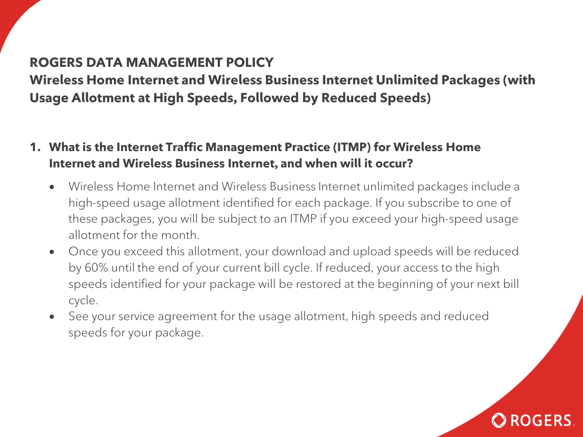## **ROGERS DATA MANAGEMENT POLICY**

**Wireless Home Internet and Wireless Business Internet Unlimited Packages (with Usage Allotment at High Speeds, Followed by Reduced Speeds)**

- **1. What is the Internet Traffic Management Practice (ITMP) for Wireless Home Internet and Wireless Business Internet, and when will it occur?**
	- Wireless Home Internet and Wireless Business Internet unlimited packages include a high-speed usage allotment identified for each package. If you subscribe to one of these packages, you will be subject to an ITMP if you exceed your high-speed usage allotment for the month.
	- Once you exceed this allotment, your download and upload speeds will be reduced by 60% until the end of your current bill cycle. If reduced, your access to the high speeds identified for your package will be restored at the beginning of your next bill cycle.
	- See your service agreement for the usage allotment, high speeds and reduced speeds for your package.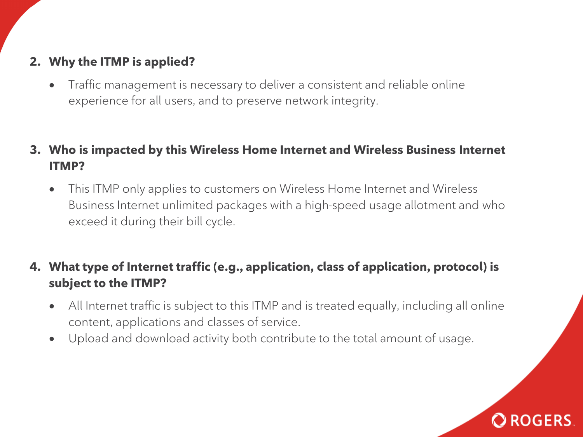# **2. Why the ITMP is applied?**

- Traffic management is necessary to deliver a consistent and reliable online experience for all users, and to preserve network integrity.
- **3. Who is impacted by this Wireless Home Internet and Wireless Business Internet ITMP?**
	- This ITMP only applies to customers on Wireless Home Internet and Wireless Business Internet unlimited packages with a high-speed usage allotment and who exceed it during their bill cycle.

## **4. What type of Internet traffic (e.g., application, class of application, protocol) is subject to the ITMP?**

- All Internet traffic is subject to this ITMP and is treated equally, including all online content, applications and classes of service.
- Upload and download activity both contribute to the total amount of usage.